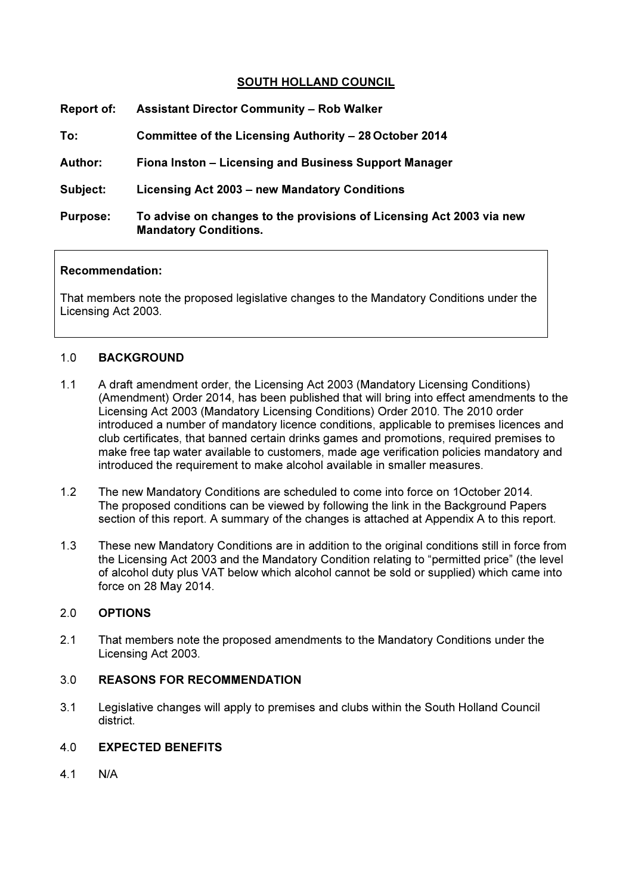## SOUTH HOLLAND COUNCIL

| Report of:      | <b>Assistant Director Community - Rob Walker</b>                                                     |
|-----------------|------------------------------------------------------------------------------------------------------|
| To:             | Committee of the Licensing Authority – 28 October 2014                                               |
| <b>Author:</b>  | Fiona Inston - Licensing and Business Support Manager                                                |
| Subject:        | Licensing Act 2003 – new Mandatory Conditions                                                        |
| <b>Purpose:</b> | To advise on changes to the provisions of Licensing Act 2003 via new<br><b>Mandatory Conditions.</b> |

#### Recommendation:

That members note the proposed legislative changes to the Mandatory Conditions under the Licensing Act 2003.

#### 1.0 BACKGROUND

- 1.1 A draft amendment order, the Licensing Act 2003 (Mandatory Licensing Conditions) (Amendment) Order 2014, has been published that will bring into effect amendments to the Licensing Act 2003 (Mandatory Licensing Conditions) Order 2010. The 2010 order introduced a number of mandatory licence conditions, applicable to premises licences and club certificates, that banned certain drinks games and promotions, required premises to make free tap water available to customers, made age verification policies mandatory and introduced the requirement to make alcohol available in smaller measures.
- 1.2 The new Mandatory Conditions are scheduled to come into force on 1October 2014. The proposed conditions can be viewed by following the link in the Background Papers section of this report. A summary of the changes is attached at Appendix A to this report.
- 1.3 These new Mandatory Conditions are in addition to the original conditions still in force from the Licensing Act 2003 and the Mandatory Condition relating to "permitted price" (the level of alcohol duty plus VAT below which alcohol cannot be sold or supplied) which came into force on 28 May 2014.

## 2.0 OPTIONS

2.1 That members note the proposed amendments to the Mandatory Conditions under the Licensing Act 2003.

### 3.0 REASONS FOR RECOMMENDATION

3.1 Legislative changes will apply to premises and clubs within the South Holland Council district.

#### 4.0 EXPECTED BENEFITS

4.1 N/A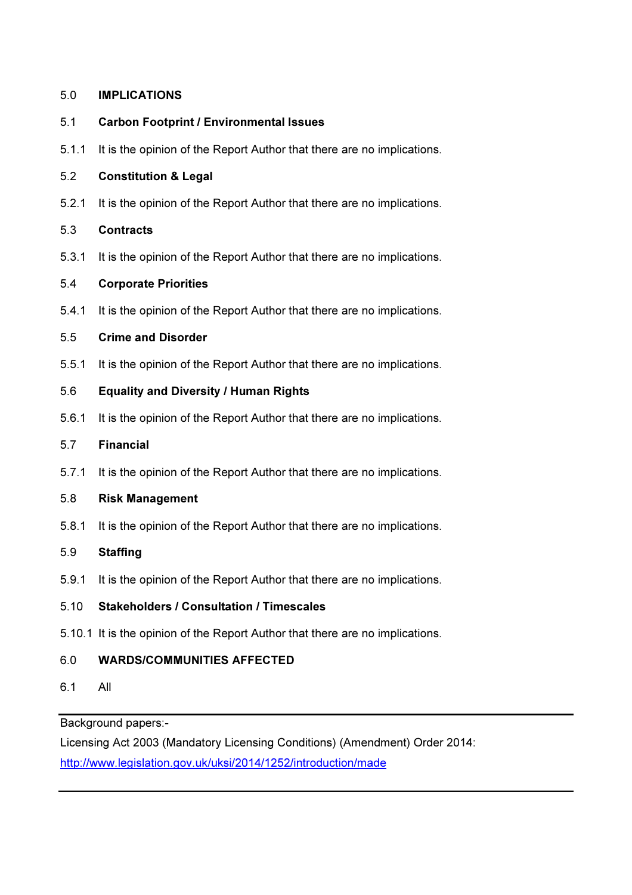## 5.0 IMPLICATIONS

## 5.1 Carbon Footprint / Environmental Issues

5.1.1 It is the opinion of the Report Author that there are no implications.

## 5.2 Constitution & Legal

5.2.1 It is the opinion of the Report Author that there are no implications.

## 5.3 Contracts

5.3.1 It is the opinion of the Report Author that there are no implications.

## 5.4 Corporate Priorities

5.4.1 It is the opinion of the Report Author that there are no implications.

## 5.5 Crime and Disorder

5.5.1 It is the opinion of the Report Author that there are no implications.

## 5.6 Equality and Diversity / Human Rights

5.6.1 It is the opinion of the Report Author that there are no implications.

### 5.7 Financial

5.7.1 It is the opinion of the Report Author that there are no implications.

### 5.8 Risk Management

5.8.1 It is the opinion of the Report Author that there are no implications.

### 5.9 Staffing

5.9.1 It is the opinion of the Report Author that there are no implications.

# 5.10 Stakeholders / Consultation / Timescales

5.10.1 It is the opinion of the Report Author that there are no implications.

# 6.0 WARDS/COMMUNITIES AFFECTED

6.1 All

Background papers:-

Licensing Act 2003 (Mandatory Licensing Conditions) (Amendment) Order 2014: http://www.legislation.gov.uk/uksi/2014/1252/introduction/made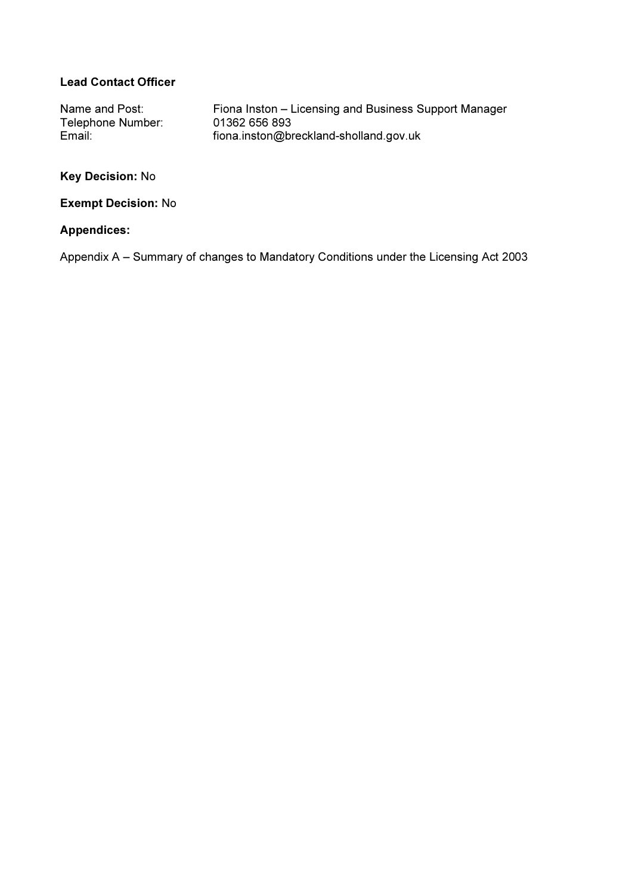# Lead Contact Officer

Name and Post: Fiona Inston – Licensing and Business Support Manager<br>Telephone Number: 01362 656 893 Telephone Number:<br>Email: fiona.inston@breckland-sholland.gov.uk

# Key Decision: No

#### Exempt Decision: No

#### Appendices:

Appendix A – Summary of changes to Mandatory Conditions under the Licensing Act 2003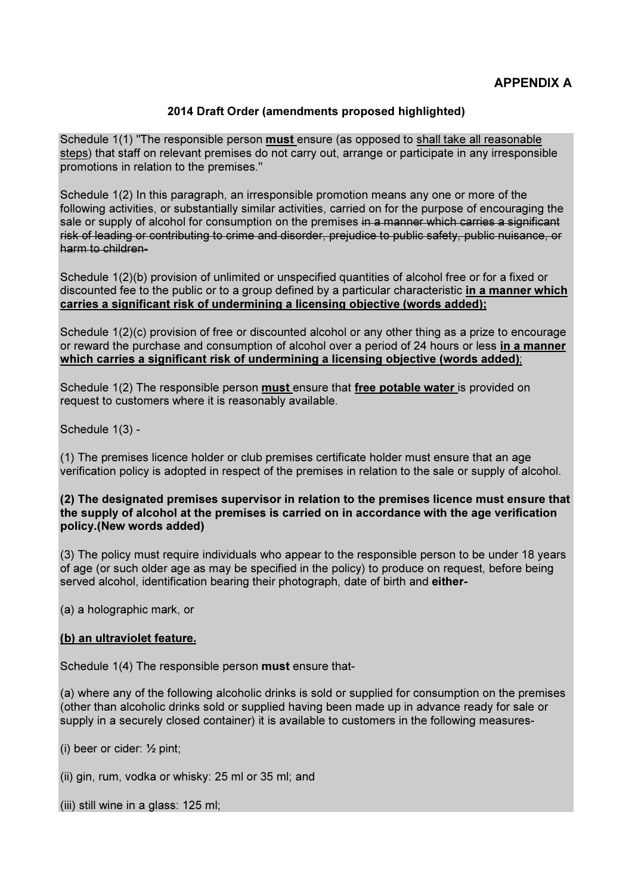### 2014 Draft Order (amendments proposed highlighted)

Schedule 1(1) "The responsible person **must** ensure (as opposed to shall take all reasonable steps) that staff on relevant premises do not carry out, arrange or participate in any irresponsible promotions in relation to the premises."

Schedule 1(2) In this paragraph, an irresponsible promotion means any one or more of the following activities, or substantially similar activities, carried on for the purpose of encouraging the sale or supply of alcohol for consumption on the premises in a manner which carries a significant risk of leading or contributing to crime and disorder, prejudice to public safety, public nuisance, or harm to children-

Schedule 1(2)(b) provision of unlimited or unspecified quantities of alcohol free or for a fixed or discounted fee to the public or to a group defined by a particular characteristic in a manner which carries a significant risk of undermining a licensing objective (words added);

Schedule 1(2)(c) provision of free or discounted alcohol or any other thing as a prize to encourage or reward the purchase and consumption of alcohol over a period of 24 hours or less in a manner which carries a significant risk of undermining a licensing objective (words added);

Schedule 1(2) The responsible person must ensure that free potable water is provided on request to customers where it is reasonably available.

Schedule 1(3) -

(1) The premises licence holder or club premises certificate holder must ensure that an age verification policy is adopted in respect of the premises in relation to the sale or supply of alcohol.

#### (2) The designated premises supervisor in relation to the premises licence must ensure that the supply of alcohol at the premises is carried on in accordance with the age verification policy.(New words added)

(3) The policy must require individuals who appear to the responsible person to be under 18 years of age (or such older age as may be specified in the policy) to produce on request, before being served alcohol, identification bearing their photograph, date of birth and either-

(a) a holographic mark, or

### (b) an ultraviolet feature.

Schedule 1(4) The responsible person must ensure that-

(a) where any of the following alcoholic drinks is sold or supplied for consumption on the premises (other than alcoholic drinks sold or supplied having been made up in advance ready for sale or supply in a securely closed container) it is available to customers in the following measures-

(i) beer or cider: ½ pint;

(ii) gin, rum, vodka or whisky: 25 ml or 35 ml; and

(iii) still wine in a glass: 125 ml;